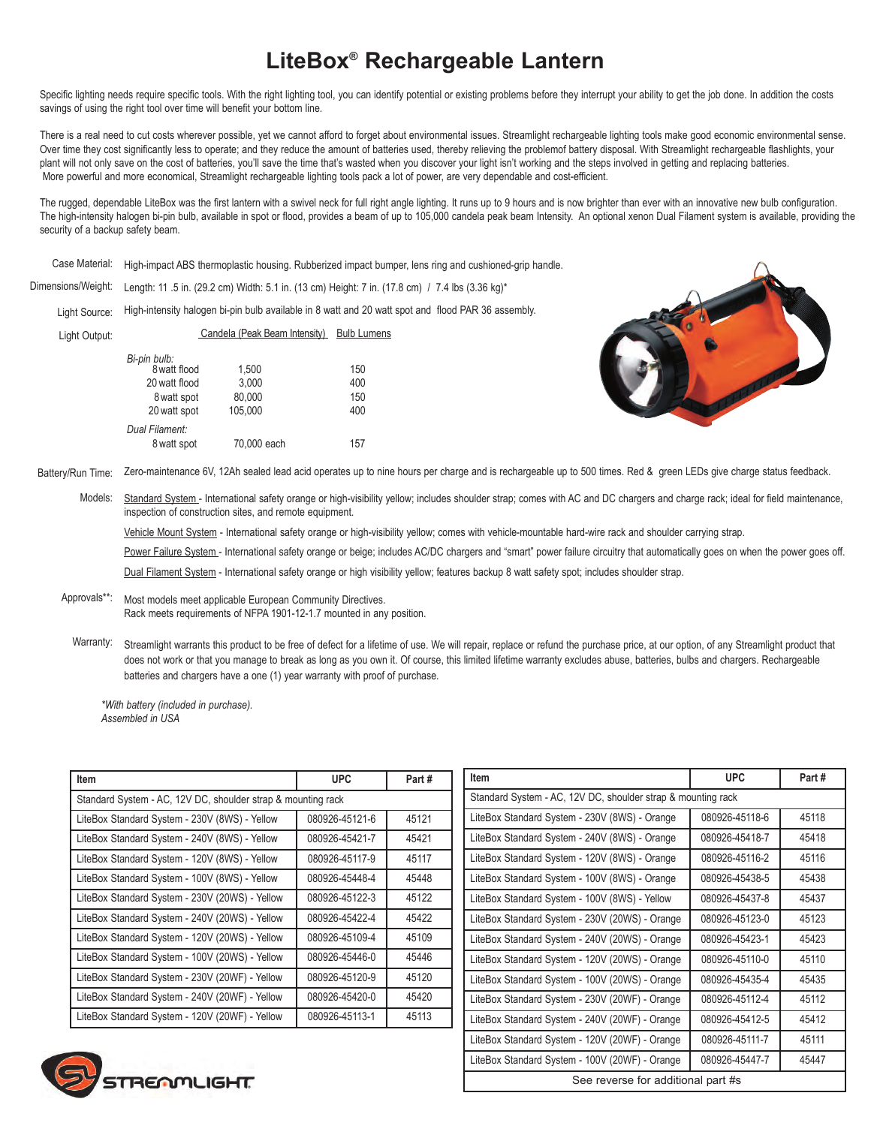## **LiteBox® Rechargeable Lantern**

Specific lighting needs require specific tools. With the right lighting tool, you can identify potential or existing problems before they interrupt your ability to get the job done. In addition the costs savings of using the right tool over time will benefit your bottom line.

There is a real need to cut costs wherever possible, yet we cannot afford to forget about environmental issues. Streamlight rechargeable lighting tools make good economic environmental sense. Over time they cost significantly less to operate; and they reduce the amount of batteries used, thereby relieving the problemof battery disposal. With Streamlight rechargeable flashlights, your plant will not only save on the cost of batteries, you'll save the time that's wasted when you discover your light isn't working and the steps involved in getting and replacing batteries. More powerful and more economical, Streamlight rechargeable lighting tools pack a lot of power, are very dependable and cost-efficient.

The rugged, dependable LiteBox was the first lantern with a swivel neck for full right angle lighting. It runs up to 9 hours and is now brighter than ever with an innovative new bulb configuration. The high-intensity halogen bi-pin bulb, available in spot or flood, provides a beam of up to 105,000 candela peak beam Intensity. An optional xenon Dual Filament system is available, providing the security of a backup safety beam.

High-impact ABS thermoplastic housing. Rubberized impact bumper, lens ring and cushioned-grip handle. Case Material:

Length: 11 .5 in. (29.2 cm) Width: 5.1 in. (13 cm) Height: 7 in. (17.8 cm) / 7.4 lbs (3.36 kg)\* Dimensions/Weight:

High-intensity halogen bi-pin bulb available in 8 watt and 20 watt spot and flood PAR 36 assembly. Light Source: Candela (Peak Beam Intensity) Bulb Lumens

Light Output:

| Bi-pin bulb:<br>8 watt flood | 1,500       | 150 |
|------------------------------|-------------|-----|
|                              |             |     |
| 20 watt flood                | 3,000       | 400 |
| 8 watt spot                  | 80,000      | 150 |
| 20 watt spot                 | 105.000     | 400 |
| Dual Filament:               |             |     |
| 8 watt spot                  | 70,000 each | 157 |
|                              |             |     |



Zero-maintenance 6V, 12Ah sealed lead acid operates up to nine hours per charge and is rechargeable up to 500 times. Red & green LEDs give charge status feedback. Battery/Run Time:

Standard System - International safety orange or high-visibility yellow; includes shoulder strap; comes with AC and DC chargers and charge rack; ideal for field maintenance, inspection of construction sites, and remote equipment. Models:

Vehicle Mount System - International safety orange or high-visibility yellow; comes with vehicle-mountable hard-wire rack and shoulder carrying strap.

Power Failure System - International safety orange or beige; includes AC/DC chargers and "smart" power failure circuitry that automatically goes on when the power goes off.

Dual Filament System - International safety orange or high visibility yellow; features backup 8 watt safety spot; includes shoulder strap.

## Most models meet applicable European Community Directives. Rack meets requirements of NFPA 1901-12-1.7 mounted in any position. Approvals\*\*:

Streamlight warrants this product to be free of defect for a lifetime of use. We will repair, replace or refund the purchase price, at our option, of any Streamlight product that does not work or that you manage to break as long as you own it. Of course, this limited lifetime warranty excludes abuse, batteries, bulbs and chargers. Rechargeable batteries and chargers have a one (1) year warranty with proof of purchase. Warranty:

*\*With battery (included in purchase). Assembled in USA*

| <b>Item</b>                                                  | <b>UPC</b>     | Part# |
|--------------------------------------------------------------|----------------|-------|
| Standard System - AC, 12V DC, shoulder strap & mounting rack |                |       |
| LiteBox Standard System - 230V (8WS) - Yellow                | 080926-45121-6 | 45121 |
| LiteBox Standard System - 240V (8WS) - Yellow                | 080926-45421-7 | 45421 |
| LiteBox Standard System - 120V (8WS) - Yellow                | 080926-45117-9 | 45117 |
| LiteBox Standard System - 100V (8WS) - Yellow                | 080926-45448-4 | 45448 |
| LiteBox Standard System - 230V (20WS) - Yellow               | 080926-45122-3 | 45122 |
| LiteBox Standard System - 240V (20WS) - Yellow               | 080926-45422-4 | 45422 |
| LiteBox Standard System - 120V (20WS) - Yellow               | 080926-45109-4 | 45109 |
| LiteBox Standard System - 100V (20WS) - Yellow               | 080926-45446-0 | 45446 |
| LiteBox Standard System - 230V (20WF) - Yellow               | 080926-45120-9 | 45120 |
| LiteBox Standard System - 240V (20WF) - Yellow               | 080926-45420-0 | 45420 |
| LiteBox Standard System - 120V (20WF) - Yellow               | 080926-45113-1 | 45113 |

| <b>Item</b>                                                  | <b>UPC</b>     | Part# |  |
|--------------------------------------------------------------|----------------|-------|--|
| Standard System - AC, 12V DC, shoulder strap & mounting rack |                |       |  |
| LiteBox Standard System - 230V (8WS) - Orange                | 080926-45118-6 | 45118 |  |
| LiteBox Standard System - 240V (8WS) - Orange                | 080926-45418-7 | 45418 |  |
| LiteBox Standard System - 120V (8WS) - Orange                | 080926-45116-2 | 45116 |  |
| LiteBox Standard System - 100V (8WS) - Orange                | 080926-45438-5 | 45438 |  |
| LiteBox Standard System - 100V (8WS) - Yellow                | 080926-45437-8 | 45437 |  |
| LiteBox Standard System - 230V (20WS) - Orange               | 080926-45123-0 | 45123 |  |
| LiteBox Standard System - 240V (20WS) - Orange               | 080926-45423-1 | 45423 |  |
| LiteBox Standard System - 120V (20WS) - Orange               | 080926-45110-0 | 45110 |  |
| LiteBox Standard System - 100V (20WS) - Orange               | 080926-45435-4 | 45435 |  |
| LiteBox Standard System - 230V (20WF) - Orange               | 080926-45112-4 | 45112 |  |
| LiteBox Standard System - 240V (20WF) - Orange               | 080926-45412-5 | 45412 |  |
| LiteBox Standard System - 120V (20WF) - Orange               | 080926-45111-7 | 45111 |  |
| LiteBox Standard System - 100V (20WF) - Orange               | 080926-45447-7 | 45447 |  |
| See reverse for additional part #s                           |                |       |  |